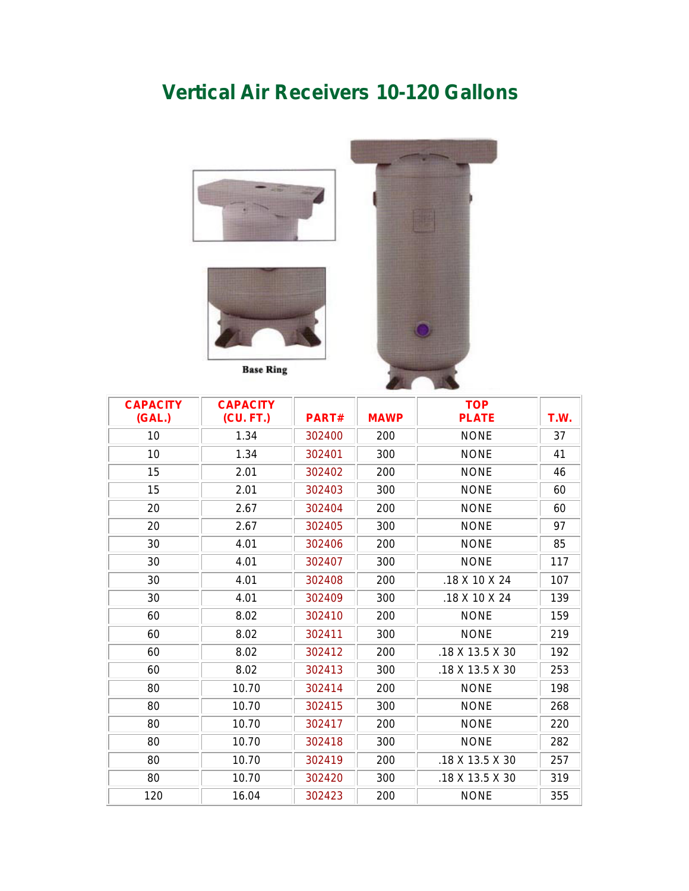## **Vertical Air Receivers 10-120 Gallons**





**Base Ring** 



| <b>CAPACITY</b><br>(GAL.) | <b>CAPACITY</b><br>(CU. FT.) | PART#  | <b>MAWP</b> | <b>TOP</b><br><b>PLATE</b> | T.W. |  |
|---------------------------|------------------------------|--------|-------------|----------------------------|------|--|
| 10                        | 1.34                         | 302400 | 200         | <b>NONE</b>                | 37   |  |
| 10                        | 1.34                         | 302401 | 300         | <b>NONE</b>                | 41   |  |
| 15                        | 2.01                         | 302402 | 200         | <b>NONE</b>                | 46   |  |
| 15                        | 2.01                         | 302403 | 300         | <b>NONE</b>                | 60   |  |
| 20                        | 2.67                         | 302404 | 200         | <b>NONE</b>                | 60   |  |
| 20                        | 2.67                         | 302405 | 300         | <b>NONE</b>                | 97   |  |
| 30                        | 4.01                         | 302406 | 200         | <b>NONE</b>                | 85   |  |
| 30                        | 4.01                         | 302407 | 300         | <b>NONE</b>                | 117  |  |
| 30                        | 4.01                         | 302408 | 200         | .18 X 10 X 24              | 107  |  |
| 30                        | 4.01                         | 302409 | 300         | .18 X 10 X 24              | 139  |  |
| 60                        | 8.02                         | 302410 | 200         | <b>NONE</b>                | 159  |  |
| 60                        | 8.02                         | 302411 | 300         | <b>NONE</b>                | 219  |  |
| 60                        | 8.02                         | 302412 | 200         | .18 X 13.5 X 30            | 192  |  |
| 60                        | 8.02                         | 302413 | 300         | .18 X 13.5 X 30            | 253  |  |
| 80                        | 10.70                        | 302414 | 200         | <b>NONE</b>                | 198  |  |
| 80                        | 10.70                        | 302415 | 300         | <b>NONE</b>                | 268  |  |
| 80                        | 10.70                        | 302417 | 200         | <b>NONE</b>                | 220  |  |
| 80                        | 10.70                        | 302418 | 300         | <b>NONE</b>                | 282  |  |
| 80                        | 10.70                        | 302419 | 200         | .18 X 13.5 X 30            | 257  |  |
| 80                        | 10.70                        | 302420 | 300         | .18 X 13.5 X 30            | 319  |  |
| 120                       | 16.04                        | 302423 | 200         | <b>NONE</b>                | 355  |  |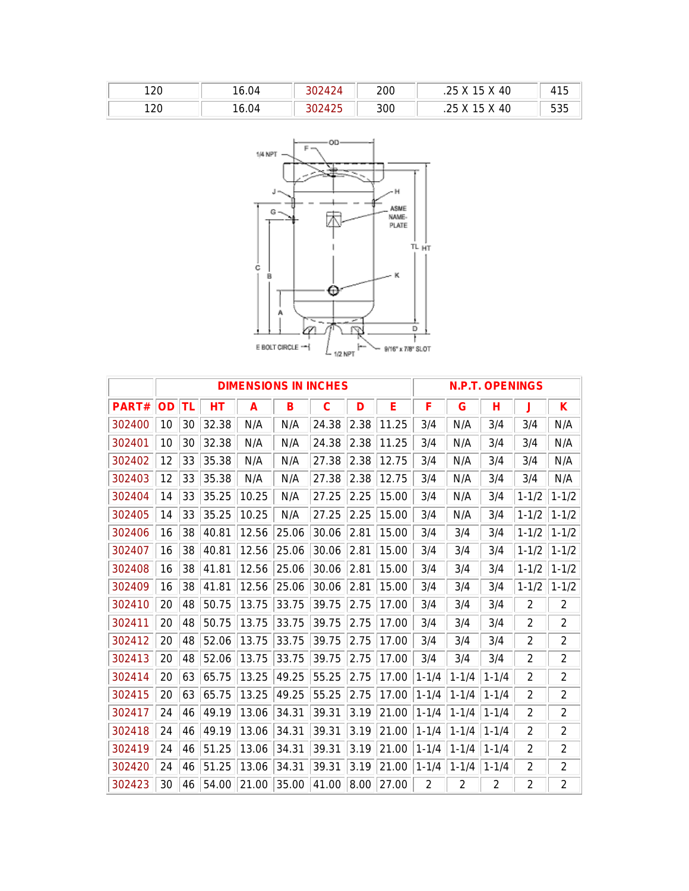| 120 | 16.04 | ''424  | 200 | .25 X 15 X 40         | 415 |
|-----|-------|--------|-----|-----------------------|-----|
| 120 | 16.04 | 302425 | 300 | .25 X 15 X 40<br>ں ے. | 535 |



|        | <b>DIMENSIONS IN INCHES</b> |    |       |       |       |       |      | <b>N.P.T. OPENINGS</b> |                |           |           |                |                |
|--------|-----------------------------|----|-------|-------|-------|-------|------|------------------------|----------------|-----------|-----------|----------------|----------------|
| PART#  | <b>OD</b>                   | TL | НT    | A     | в     | C     | D    | Е                      | F              | G         | н         | J              | Κ              |
| 302400 | 10                          | 30 | 32.38 | N/A   | N/A   | 24.38 | 2.38 | 11.25                  | 3/4            | N/A       | 3/4       | 3/4            | N/A            |
| 302401 | 10                          | 30 | 32.38 | N/A   | N/A   | 24.38 | 2.38 | 11.25                  | 3/4            | N/A       | 3/4       | 3/4            | N/A            |
| 302402 | 12                          | 33 | 35.38 | N/A   | N/A   | 27.38 | 2.38 | 12.75                  | 3/4            | N/A       | 3/4       | 3/4            | N/A            |
| 302403 | 12                          | 33 | 35.38 | N/A   | N/A   | 27.38 | 2.38 | 12.75                  | 3/4            | N/A       | 3/4       | 3/4            | N/A            |
| 302404 | 14                          | 33 | 35.25 | 10.25 | N/A   | 27.25 | 2.25 | 15.00                  | 3/4            | N/A       | 3/4       | $1 - 1/2$      | $1 - 1/2$      |
| 302405 | 14                          | 33 | 35.25 | 10.25 | N/A   | 27.25 | 2.25 | 15.00                  | 3/4            | N/A       | 3/4       | $1 - 1/2$      | $1 - 1/2$      |
| 302406 | 16                          | 38 | 40.81 | 12.56 | 25.06 | 30.06 | 2.81 | 15.00                  | 3/4            | 3/4       | 3/4       | $1 - 1/2$      | $1 - 1/2$      |
| 302407 | 16                          | 38 | 40.81 | 12.56 | 25.06 | 30.06 | 2.81 | 15.00                  | 3/4            | 3/4       | 3/4       | $1 - 1/2$      | $1 - 1/2$      |
| 302408 | 16                          | 38 | 41.81 | 12.56 | 25.06 | 30.06 | 2.81 | 15.00                  | 3/4            | 3/4       | 3/4       | $1 - 1/2$      | $1 - 1/2$      |
| 302409 | 16                          | 38 | 41.81 | 12.56 | 25.06 | 30.06 | 2.81 | 15.00                  | 3/4            | 3/4       | 3/4       | $1 - 1/2$      | $1 - 1/2$      |
| 302410 | 20                          | 48 | 50.75 | 13.75 | 33.75 | 39.75 | 2.75 | 17.00                  | 3/4            | 3/4       | 3/4       | $\overline{2}$ | 2              |
| 302411 | 20                          | 48 | 50.75 | 13.75 | 33.75 | 39.75 | 2.75 | 17.00                  | 3/4            | 3/4       | 3/4       | 2              | $\overline{2}$ |
| 302412 | 20                          | 48 | 52.06 | 13.75 | 33.75 | 39.75 | 2.75 | 17.00                  | 3/4            | 3/4       | 3/4       | $\overline{2}$ | 2              |
| 302413 | 20                          | 48 | 52.06 | 13.75 | 33.75 | 39.75 | 2.75 | 17.00                  | 3/4            | 3/4       | 3/4       | $\overline{2}$ | $\overline{2}$ |
| 302414 | 20                          | 63 | 65.75 | 13.25 | 49.25 | 55.25 | 2.75 | 17.00                  | $1 - 1/4$      | $1 - 1/4$ | $1 - 1/4$ | $\overline{2}$ | $\overline{2}$ |
| 302415 | 20                          | 63 | 65.75 | 13.25 | 49.25 | 55.25 | 2.75 | 17.00                  | $1 - 1/4$      | $1 - 1/4$ | $1 - 1/4$ | 2              | $\overline{2}$ |
| 302417 | 24                          | 46 | 49.19 | 13.06 | 34.31 | 39.31 | 3.19 | 21.00                  | $1 - 1/4$      | $1 - 1/4$ | $1 - 1/4$ | 2              | $\overline{2}$ |
| 302418 | 24                          | 46 | 49.19 | 13.06 | 34.31 | 39.31 | 3.19 | 21.00                  | $1 - 1/4$      | $1 - 1/4$ | $1 - 1/4$ | 2              | $\overline{2}$ |
| 302419 | 24                          | 46 | 51.25 | 13.06 | 34.31 | 39.31 | 3.19 | 21.00                  | $1 - 1/4$      | $1 - 1/4$ | $1 - 1/4$ | 2              | $\overline{2}$ |
| 302420 | 24                          | 46 | 51.25 | 13.06 | 34.31 | 39.31 | 3.19 | 21.00                  | $1 - 1/4$      | $1 - 1/4$ | $1 - 1/4$ | 2              | 2              |
| 302423 | 30                          | 46 | 54.00 | 21.00 | 35.00 | 41.00 | 8.00 | 27.00                  | $\overline{2}$ | 2         | 2         | $\overline{2}$ | $\overline{2}$ |